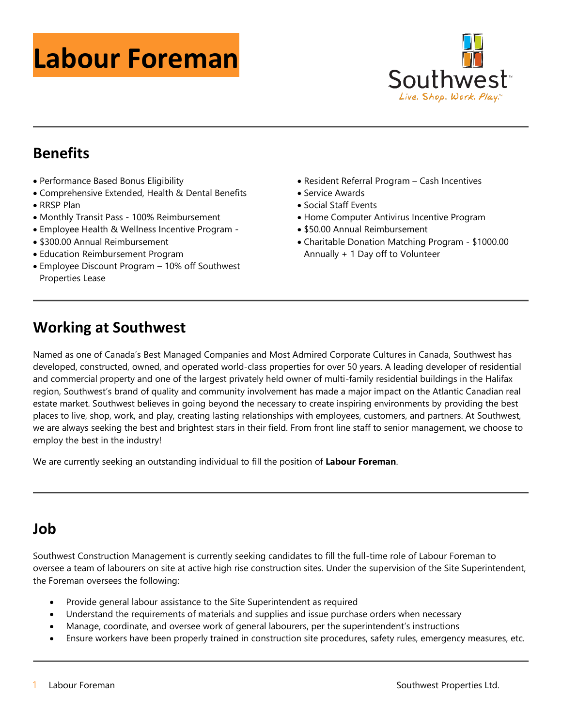# **Labour Foreman**



## **Benefits**

- Performance Based Bonus Eligibility
- Comprehensive Extended, Health & Dental Benefits • RRSP Plan
- Monthly Transit Pass 100% Reimbursement
- Employee Health & Wellness Incentive Program -
- \$300.00 Annual Reimbursement
- Education Reimbursement Program
- Employee Discount Program 10% off Southwest Properties Lease
- Resident Referral Program Cash Incentives
- Service Awards
- Social Staff Events
- Home Computer Antivirus Incentive Program
- \$50.00 Annual Reimbursement
- Charitable Donation Matching Program \$1000.00 Annually + 1 Day off to Volunteer

## **Working at Southwest**

Named as one of Canada's Best Managed Companies and Most Admired Corporate Cultures in Canada, Southwest has developed, constructed, owned, and operated world-class properties for over 50 years. A leading developer of residential and commercial property and one of the largest privately held owner of multi-family residential buildings in the Halifax region, Southwest's brand of quality and community involvement has made a major impact on the Atlantic Canadian real estate market. Southwest believes in going beyond the necessary to create inspiring environments by providing the best places to live, shop, work, and play, creating lasting relationships with employees, customers, and partners. At Southwest, we are always seeking the best and brightest stars in their field. From front line staff to senior management, we choose to employ the best in the industry!

We are currently seeking an outstanding individual to fill the position of **Labour Foreman**.

# **Job**

Southwest Construction Management is currently seeking candidates to fill the full-time role of Labour Foreman to oversee a team of labourers on site at active high rise construction sites. Under the supervision of the Site Superintendent, the Foreman oversees the following:

- Provide general labour assistance to the Site Superintendent as required
- Understand the requirements of materials and supplies and issue purchase orders when necessary
- Manage, coordinate, and oversee work of general labourers, per the superintendent's instructions
- Ensure workers have been properly trained in construction site procedures, safety rules, emergency measures, etc.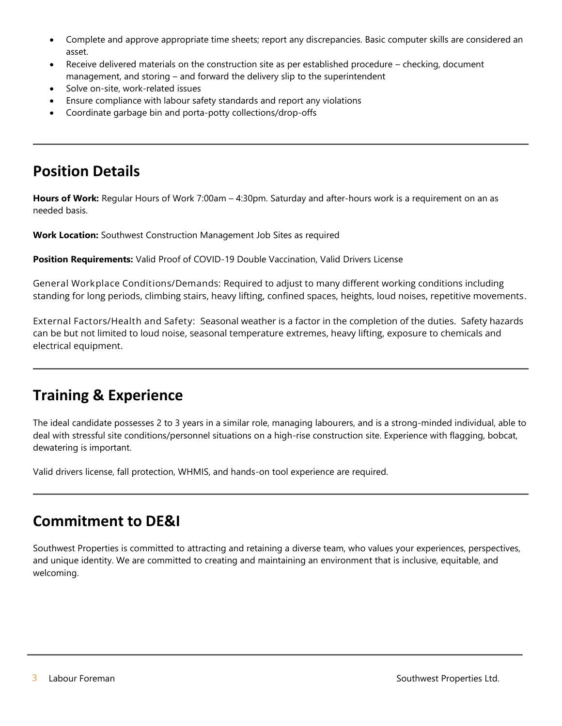- Complete and approve appropriate time sheets; report any discrepancies. Basic computer skills are considered an asset.
- Receive delivered materials on the construction site as per established procedure checking, document management, and storing – and forward the delivery slip to the superintendent
- Solve on-site, work-related issues
- Ensure compliance with labour safety standards and report any violations
- Coordinate garbage bin and porta-potty collections/drop-offs

#### **Position Details**

**Hours of Work:** Regular Hours of Work 7:00am – 4:30pm. Saturday and after-hours work is a requirement on an as needed basis.

**Work Location:** Southwest Construction Management Job Sites as required

**Position Requirements:** Valid Proof of COVID-19 Double Vaccination, Valid Drivers License

**General Workplace Conditions/Demands:** Required to adjust to many different working conditions including standing for long periods, climbing stairs, heavy lifting, confined spaces, heights, loud noises, repetitive movements**.**

**External Factors/Health and Safety:** Seasonal weather is a factor in the completion of the duties. Safety hazards can be but not limited to loud noise, seasonal temperature extremes, heavy lifting, exposure to chemicals and electrical equipment.

#### **Training & Experience**

The ideal candidate possesses 2 to 3 years in a similar role, managing labourers, and is a strong-minded individual, able to deal with stressful site conditions/personnel situations on a high-rise construction site. Experience with flagging, bobcat, dewatering is important.

Valid drivers license, fall protection, WHMIS, and hands-on tool experience are required.

#### **Commitment to DE&I**

Southwest Properties is committed to attracting and retaining a diverse team, who values your experiences, perspectives, and unique identity. We are committed to creating and maintaining an environment that is inclusive, equitable, and welcoming.